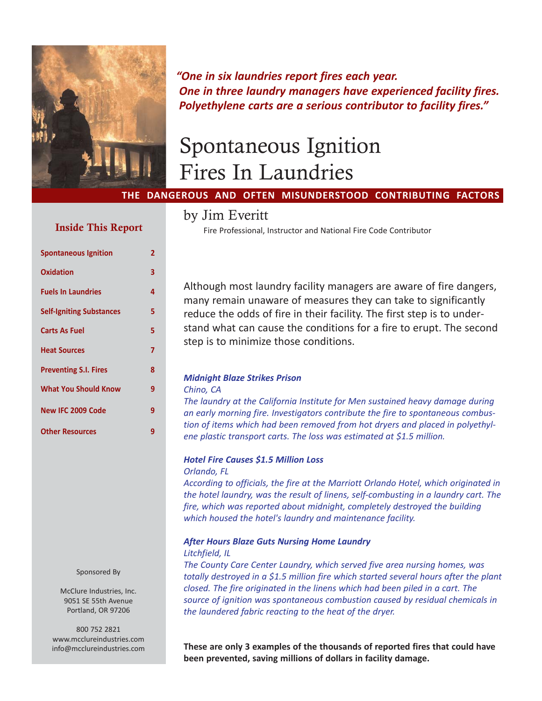

*"One in six laundries report fires each year. One in three laundry managers have experienced facility fires. Polyethylene carts are a serious contributor to facility fires."*

# Spontaneous Ignition Fires In Laundries

# **THE DANGEROUS AND OFTEN MISUNDERSTOOD CONTRIBUTING FACTORS**

# Inside This Report

| <b>Spontaneous Ignition</b>     | 2 |
|---------------------------------|---|
| Oxidation                       | 3 |
| <b>Fuels In Laundries</b>       | 4 |
| <b>Self-Igniting Substances</b> | 5 |
| <b>Carts As Fuel</b>            | 5 |
| <b>Heat Sources</b>             | 7 |
| <b>Preventing S.I. Fires</b>    | 8 |
| <b>What You Should Know</b>     | 9 |
| New IFC 2009 Code               | 9 |
| <b>Other Resources</b>          | 9 |

Sponsored By

McClure Industries, Inc. 9051 SE 55th Avenue Portland, OR 97206

800 752 2821 www.mcclureindustries.com info@mcclureindustries.com

# by Jim Everitt

Fire Professional, Instructor and National Fire Code Contributor

Although most laundry facility managers are aware of fire dangers, many remain unaware of measures they can take to significantly reduce the odds of fire in their facility. The first step is to understand what can cause the conditions for a fire to erupt. The second step is to minimize those conditions.

# *Midnight Blaze Strikes Prison*

#### *Chino, CA*

*The laundry at the California Institute for Men sustained heavy damage during an early morning fire. Investigators contribute the fire to spontaneous combustion of items which had been removed from hot dryers and placed in polyethylene plastic transport carts. The loss was estimated at \$1.5 million.*

## *Hotel Fire Causes \$1.5 Million Loss Orlando, FL*

*According to officials, the fire at the Marriott Orlando Hotel, which originated in the hotel laundry, was the result of linens, self-combusting in a laundry cart. The fire, which was reported about midnight, completely destroyed the building which housed the hotel's laundry and maintenance facility.*

# *After Hours Blaze Guts Nursing Home Laundry*

#### *Litchfield, IL*

*The County Care Center Laundry, which served five area nursing homes, was totally destroyed in a \$1.5 million fire which started several hours after the plant closed. The fire originated in the linens which had been piled in a cart. The source of ignition was spontaneous combustion caused by residual chemicals in the laundered fabric reacting to the heat of the dryer.*

**These are only 3 examples of the thousands of reported fires that could have been prevented, saving millions of dollars in facility damage.**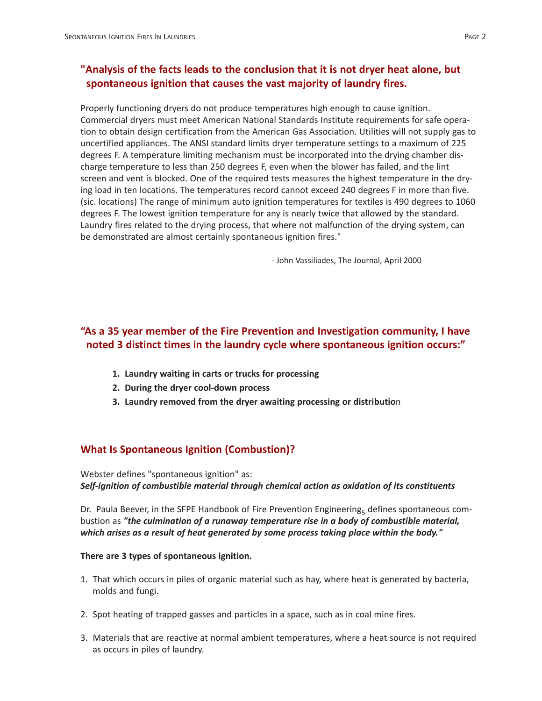# **"Analysis of the facts leads to the conclusion that it is not dryer heat alone, but spontaneous ignition that causes the vast majority of laundry fires.**

Properly functioning dryers do not produce temperatures high enough to cause ignition. Commercial dryers must meet American National Standards Institute requirements for safe operation to obtain design certification from the American Gas Association. Utilities will not supply gas to uncertified appliances. The ANSI standard limits dryer temperature settings to a maximum of 225 degrees F. A temperature limiting mechanism must be incorporated into the drying chamber discharge temperature to less than 250 degrees F, even when the blower has failed, and the lint screen and vent is blocked. One of the required tests measures the highest temperature in the drying load in ten locations. The temperatures record cannot exceed 240 degrees F in more than five. (sic. locations) The range of minimum auto ignition temperatures for textiles is 490 degrees to 1060 degrees F. The lowest ignition temperature for any is nearly twice that allowed by the standard. Laundry fires related to the drying process, that where not malfunction of the drying system, can be demonstrated are almost certainly spontaneous ignition fires."

- John Vassiliades, The Journal, April 2000

# **"As a 35 year member of the Fire Prevention and Investigation community, I have noted 3 distinct times in the laundry cycle where spontaneous ignition occurs:"**

- **1. Laundry waiting in carts or trucks for processing**
- **2. During the dryer cool-down process**
- **3. Laundry removed from the dryer awaiting processing or distributio**n

# **What Is Spontaneous Ignition (Combustion)?**

Webster defines "spontaneous ignition" as: *Self-ignition of combustible material through chemical action as oxidation of its constituents*

Dr. Paula Beever, in the SFPE Handbook of Fire Prevention Engineering<sub>5</sub> defines spontaneous combustion as *"the culmination of a runaway temperature rise in a body of combustible material, which arises as a result of heat generated by some process taking place within the body."*

# **There are 3 types of spontaneous ignition.**

- 1. That which occurs in piles of organic material such as hay, where heat is generated by bacteria, molds and fungi.
- 2. Spot heating of trapped gasses and particles in a space, such as in coal mine fires.
- 3. Materials that are reactive at normal ambient temperatures, where a heat source is not required as occurs in piles of laundry.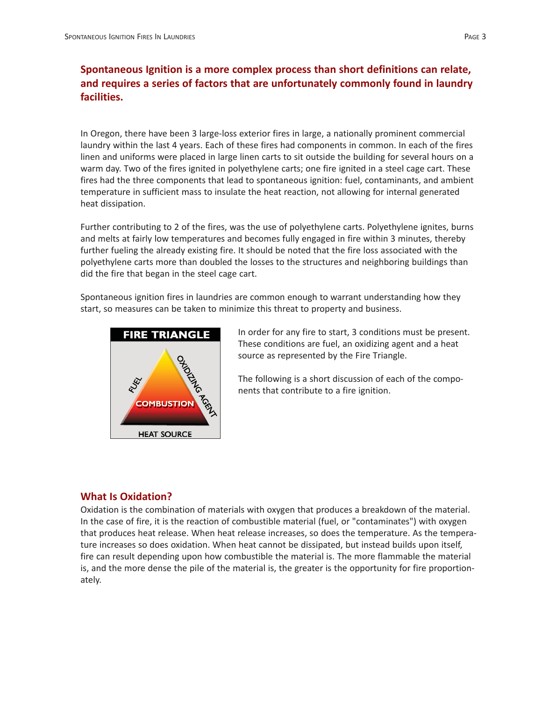# **Spontaneous Ignition is a more complex process than short definitions can relate, and requires a series of factors that are unfortunately commonly found in laundry facilities.**

In Oregon, there have been 3 large-loss exterior fires in large, a nationally prominent commercial laundry within the last 4 years. Each of these fires had components in common. In each of the fires linen and uniforms were placed in large linen carts to sit outside the building for several hours on a warm day. Two of the fires ignited in polyethylene carts; one fire ignited in a steel cage cart. These fires had the three components that lead to spontaneous ignition: fuel, contaminants, and ambient temperature in sufficient mass to insulate the heat reaction, not allowing for internal generated heat dissipation.

Further contributing to 2 of the fires, was the use of polyethylene carts. Polyethylene ignites, burns and melts at fairly low temperatures and becomes fully engaged in fire within 3 minutes, thereby further fueling the already existing fire. It should be noted that the fire loss associated with the polyethylene carts more than doubled the losses to the structures and neighboring buildings than did the fire that began in the steel cage cart.

Spontaneous ignition fires in laundries are common enough to warrant understanding how they start, so measures can be taken to minimize this threat to property and business.



In order for any fire to start, 3 conditions must be present. These conditions are fuel, an oxidizing agent and a heat source as represented by the Fire Triangle.

The following is a short discussion of each of the components that contribute to a fire ignition.

# **What Is Oxidation?**

Oxidation is the combination of materials with oxygen that produces a breakdown of the material. In the case of fire, it is the reaction of combustible material (fuel, or "contaminates") with oxygen that produces heat release. When heat release increases, so does the temperature. As the temperature increases so does oxidation. When heat cannot be dissipated, but instead builds upon itself, fire can result depending upon how combustible the material is. The more flammable the material is, and the more dense the pile of the material is, the greater is the opportunity for fire proportionately.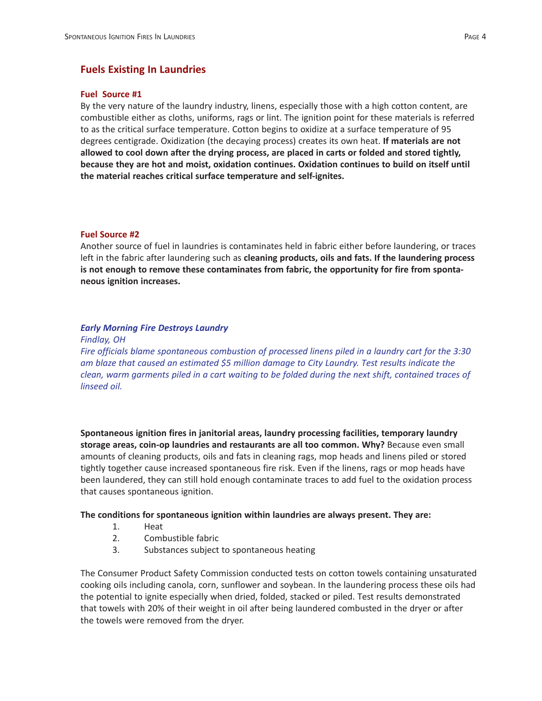#### **Fuel Source #1**

By the very nature of the laundry industry, linens, especially those with a high cotton content, are combustible either as cloths, uniforms, rags or lint. The ignition point for these materials is referred to as the critical surface temperature. Cotton begins to oxidize at a surface temperature of 95 degrees centigrade. Oxidization (the decaying process) creates its own heat. **If materials are not allowed to cool down after the drying process, are placed in carts or folded and stored tightly, because they are hot and moist, oxidation continues. Oxidation continues to build on itself until the material reaches critical surface temperature and self-ignites.**

#### **Fuel Source #2**

Another source of fuel in laundries is contaminates held in fabric either before laundering, or traces left in the fabric after laundering such as **cleaning products, oils and fats. If the laundering process is not enough to remove these contaminates from fabric, the opportunity for fire from spontaneous ignition increases.**

#### *Early Morning Fire Destroys Laundry*

*Findlay, OH*

*Fire officials blame spontaneous combustion of processed linens piled in a laundry cart for the 3:30 am blaze that caused an estimated \$5 million damage to City Laundry. Test results indicate the clean, warm garments piled in a cart waiting to be folded during the next shift, contained traces of linseed oil.*

**Spontaneous ignition fires in janitorial areas, laundry processing facilities, temporary laundry storage areas, coin-op laundries and restaurants are all too common. Why?** Because even small amounts of cleaning products, oils and fats in cleaning rags, mop heads and linens piled or stored tightly together cause increased spontaneous fire risk. Even if the linens, rags or mop heads have been laundered, they can still hold enough contaminate traces to add fuel to the oxidation process that causes spontaneous ignition.

#### **The conditions for spontaneous ignition within laundries are always present. They are:**

- 1. Heat
- 2. Combustible fabric
- 3. Substances subject to spontaneous heating

The Consumer Product Safety Commission conducted tests on cotton towels containing unsaturated cooking oils including canola, corn, sunflower and soybean. In the laundering process these oils had the potential to ignite especially when dried, folded, stacked or piled. Test results demonstrated that towels with 20% of their weight in oil after being laundered combusted in the dryer or after the towels were removed from the dryer.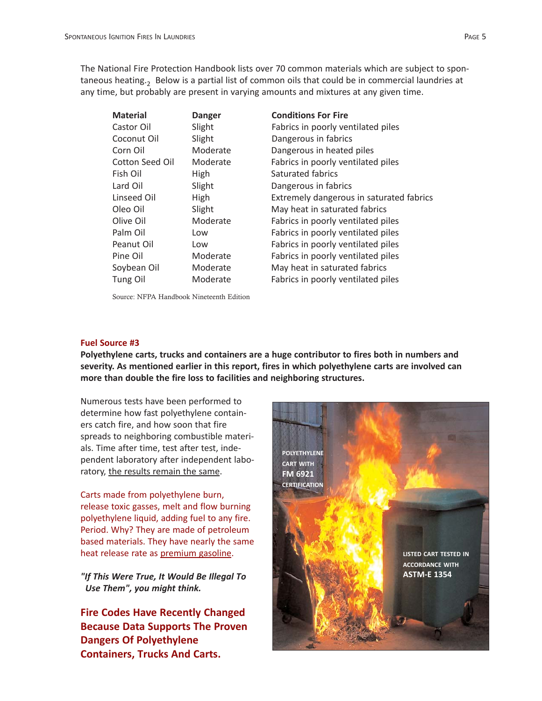The National Fire Protection Handbook lists over 70 common materials which are subject to spontaneous heating.<sub>2</sub> Below is a partial list of common oils that could be in commercial laundries at any time, but probably are present in varying amounts and mixtures at any given time.

| <b>Material</b> | <b>Danger</b> | <b>Conditions For Fire</b>               |
|-----------------|---------------|------------------------------------------|
| Castor Oil      | Slight        | Fabrics in poorly ventilated piles       |
| Coconut Oil     | Slight        | Dangerous in fabrics                     |
| Corn Oil        | Moderate      | Dangerous in heated piles                |
| Cotton Seed Oil | Moderate      | Fabrics in poorly ventilated piles       |
| Fish Oil        | High          | Saturated fabrics                        |
| Lard Oil        | Slight        | Dangerous in fabrics                     |
| Linseed Oil     | High          | Extremely dangerous in saturated fabrics |
| Oleo Oil        | Slight        | May heat in saturated fabrics            |
| Olive Oil       | Moderate      | Fabrics in poorly ventilated piles       |
| Palm Oil        | Low           | Fabrics in poorly ventilated piles       |
| Peanut Oil      | Low           | Fabrics in poorly ventilated piles       |
| Pine Oil        | Moderate      | Fabrics in poorly ventilated piles       |
| Soybean Oil     | Moderate      | May heat in saturated fabrics            |
| Tung Oil        | Moderate      | Fabrics in poorly ventilated piles       |

Source: NFPA Handbook Nineteenth Edition

## **Fuel Source #3**

**Polyethylene carts, trucks and containers are a huge contributor to fires both in numbers and severity. As mentioned earlier in this report, fires in which polyethylene carts are involved can more than double the fire loss to facilities and neighboring structures.**

Numerous tests have been performed to determine how fast polyethylene containers catch fire, and how soon that fire spreads to neighboring combustible materials. Time after time, test after test, independent laboratory after independent laboratory, the results remain the same.

Carts made from polyethylene burn, release toxic gasses, melt and flow burning polyethylene liquid, adding fuel to any fire. Period. Why? They are made of petroleum based materials. They have nearly the same heat release rate as premium gasoline.

*"If This Were True, It Would Be Illegal To Use Them", you might think.* 

**Fire Codes Have Recently Changed Because Data Supports The Proven Dangers Of Polyethylene Containers, Trucks And Carts.**

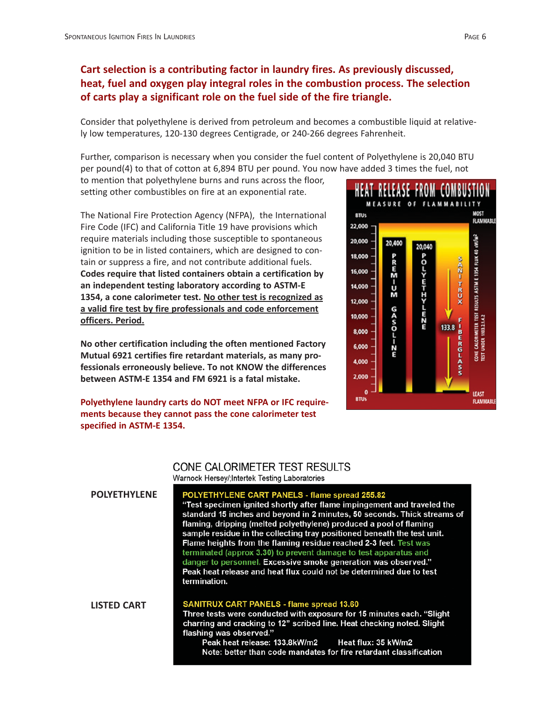# **Cart selection is a contributing factor in laundry fires. As previously discussed, heat, fuel and oxygen play integral roles in the combustion process. The selection of carts play a significant role on the fuel side of the fire triangle.**

Consider that polyethylene is derived from petroleum and becomes a combustible liquid at relatively low temperatures, 120-130 degrees Centigrade, or 240-266 degrees Fahrenheit.

Further, comparison is necessary when you consider the fuel content of Polyethylene is 20,040 BTU per pound(4) to that of cotton at 6,894 BTU per pound. You now have added 3 times the fuel, not

to mention that polyethylene burns and runs across the floor, setting other combustibles on fire at an exponential rate.

The National Fire Protection Agency (NFPA), the International Fire Code (IFC) and California Title 19 have provisions which require materials including those susceptible to spontaneous ignition to be in listed containers, which are designed to contain or suppress a fire, and not contribute additional fuels. **Codes require that listed containers obtain a certification by an independent testing laboratory according to ASTM-E 1354, a cone calorimeter test. No other test is recognized as a valid fire test by fire professionals and code enforcement officers. Period.**

**No other certification including the often mentioned Factory Mutual 6921 certifies fire retardant materials, as many professionals erroneously believe. To not KNOW the differences between ASTM-E 1354 and FM 6921 is a fatal mistake.**

**Polyethylene laundry carts do NOT meet NFPA or IFC requirements because they cannot pass the cone calorimeter test specified in ASTM-E 1354.**



# **CONE CALORIMETER TEST RESULTS** Warnock Hersey/; Intertek Testing Laboratories

| <b>POLYETHYLENE</b> | POLYETHYLENE CART PANELS - flame spread 255.82<br>"Test specimen ignited shortly after flame impingement and traveled the<br>standard 15 inches and beyond in 2 minutes, 50 seconds. Thick streams of<br>flaming, dripping (melted polyethylene) produced a pool of flaming<br>sample residue in the collecting tray positioned beneath the test unit.<br>Flame heights from the flaming residue reached 2-3 feet. Test was<br>terminated (approx 3.30) to prevent damage to test apparatus and<br>danger to personnel. Excessive smoke generation was observed."<br>Peak heat release and heat flux could not be determined due to test<br>termination. |
|---------------------|----------------------------------------------------------------------------------------------------------------------------------------------------------------------------------------------------------------------------------------------------------------------------------------------------------------------------------------------------------------------------------------------------------------------------------------------------------------------------------------------------------------------------------------------------------------------------------------------------------------------------------------------------------|
| <b>LISTED CART</b>  | <b>SANITRUX CART PANELS - flame spread 13.60</b><br>Three tests were conducted with exposure for 15 minutes each. "Slight<br>charring and cracking to 12" scribed line. Heat checking noted. Slight<br>flashing was observed."                                                                                                                                                                                                                                                                                                                                                                                                                           |
|                     | Peak heat release: 133.8kW/m2<br>Heat flux: 35 kW/m2                                                                                                                                                                                                                                                                                                                                                                                                                                                                                                                                                                                                     |

Note: better than code mandates for fire retardant classification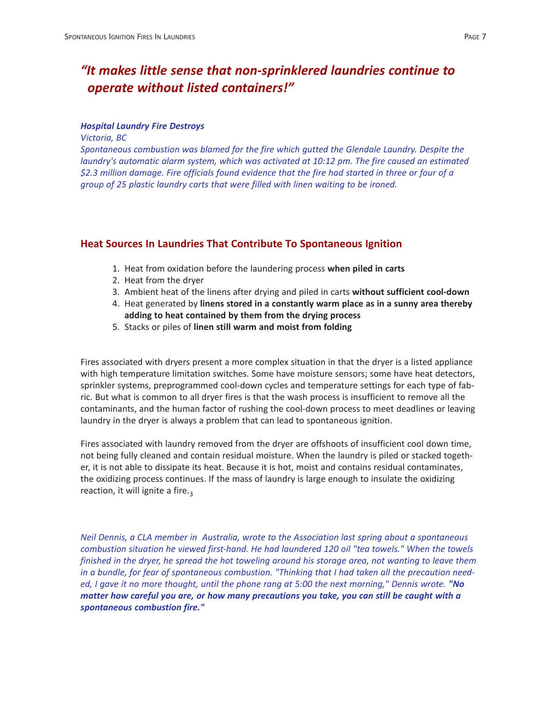# *"It makes little sense that non-sprinklered laundries continue to operate without listed containers!"*

#### *Hospital Laundry Fire Destroys*

*Victoria, BC*

*Spontaneous combustion was blamed for the fire which gutted the Glendale Laundry. Despite the laundry's automatic alarm system, which was activated at 10:12 pm. The fire caused an estimated \$2.3 million damage. Fire officials found evidence that the fire had started in three or four of a group of 25 plastic laundry carts that were filled with linen waiting to be ironed.*

# **Heat Sources In Laundries That Contribute To Spontaneous Ignition**

- 1. Heat from oxidation before the laundering process **when piled in carts**
- 2. Heat from the dryer
- 3. Ambient heat of the linens after drying and piled in carts **without sufficient cool-down**
- 4. Heat generated by **linens stored in a constantly warm place as in a sunny area thereby adding to heat contained by them from the drying process**
- 5. Stacks or piles of **linen still warm and moist from folding**

Fires associated with dryers present a more complex situation in that the dryer is a listed appliance with high temperature limitation switches. Some have moisture sensors; some have heat detectors, sprinkler systems, preprogrammed cool-down cycles and temperature settings for each type of fabric. But what is common to all dryer fires is that the wash process is insufficient to remove all the contaminants, and the human factor of rushing the cool-down process to meet deadlines or leaving laundry in the dryer is always a problem that can lead to spontaneous ignition.

Fires associated with laundry removed from the dryer are offshoots of insufficient cool down time, not being fully cleaned and contain residual moisture. When the laundry is piled or stacked together, it is not able to dissipate its heat. Because it is hot, moist and contains residual contaminates, the oxidizing process continues. If the mass of laundry is large enough to insulate the oxidizing reaction, it will ignite a fire. $3$ 

*Neil Dennis, a CLA member in Australia, wrote to the Association last spring about a spontaneous combustion situation he viewed first-hand. He had laundered 120 oil "tea towels." When the towels finished in the dryer, he spread the hot toweling around his storage area, not wanting to leave them in a bundle, for fear of spontaneous combustion. "Thinking that I had taken all the precaution needed, I gave it no more thought, until the phone rang at 5:00 the next morning," Dennis wrote.* "No *matter how careful you are, or how many precautions you take, you can still be caught with a spontaneous combustion fire."*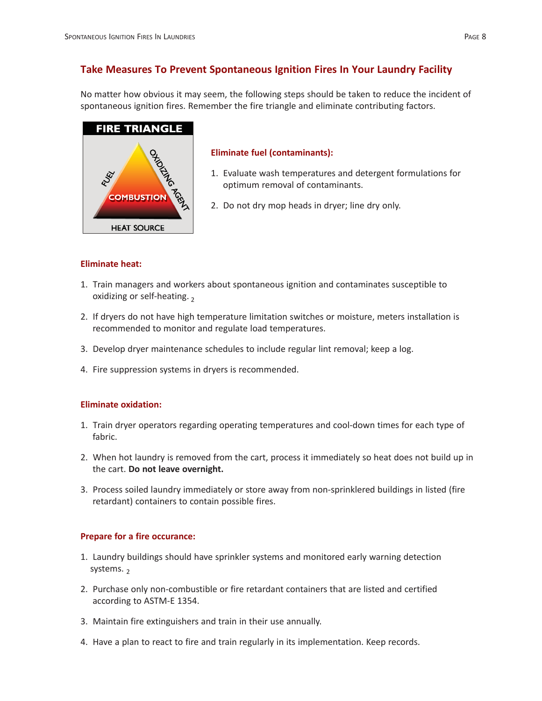# **Take Measures To Prevent Spontaneous Ignition Fires In Your Laundry Facility**

No matter how obvious it may seem, the following steps should be taken to reduce the incident of spontaneous ignition fires. Remember the fire triangle and eliminate contributing factors.



# **Eliminate fuel (contaminants):**

- 1. Evaluate wash temperatures and detergent formulations for optimum removal of contaminants.
- 2. Do not dry mop heads in dryer; line dry only.

# **Eliminate heat:**

- 1. Train managers and workers about spontaneous ignition and contaminates susceptible to oxidizing or self-heating.  $2$
- 2. If dryers do not have high temperature limitation switches or moisture, meters installation is recommended to monitor and regulate load temperatures.
- 3. Develop dryer maintenance schedules to include regular lint removal; keep a log.
- 4. Fire suppression systems in dryers is recommended.

# **Eliminate oxidation:**

- 1. Train dryer operators regarding operating temperatures and cool-down times for each type of fabric.
- 2. When hot laundry is removed from the cart, process it immediately so heat does not build up in the cart. **Do not leave overnight.**
- 3. Process soiled laundry immediately or store away from non-sprinklered buildings in listed (fire retardant) containers to contain possible fires.

# **Prepare for a fire occurance:**

- 1. Laundry buildings should have sprinkler systems and monitored early warning detection systems.  $2$
- 2. Purchase only non-combustible or fire retardant containers that are listed and certified according to ASTM-E 1354.
- 3. Maintain fire extinguishers and train in their use annually.
- 4. Have a plan to react to fire and train regularly in its implementation. Keep records.